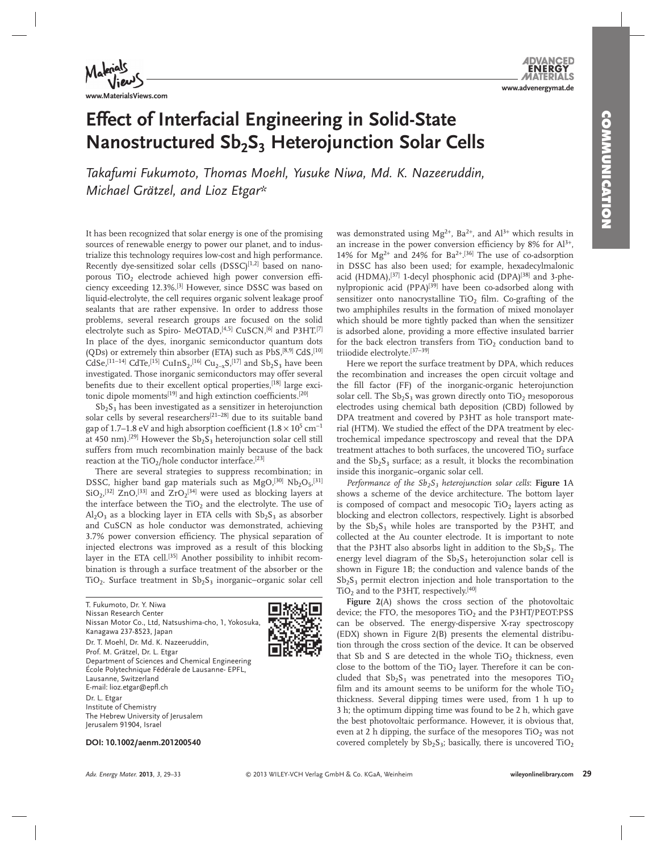**www.MaterialsViews.com**

# **Effect of Interfacial Engineering in Solid-State Nanostructured Sb<sub>2</sub>S<sub>3</sub> Heterojunction Solar Cells**

 *Takafumi Fukumoto , Thomas Moehl , Yusuke Niwa , Md. K. Nazeeruddin , Michael Grätzel , and Lioz Etgar \** 

 It has been recognized that solar energy is one of the promising sources of renewable energy to power our planet, and to industrialize this technology requires low-cost and high performance. Recently dye-sensitized solar cells  $(DSSC)^{[1,2]}$  based on nanoporous TiO<sub>2</sub> electrode achieved high power conversion efficiency exceeding 12.3%.<sup>[3]</sup> However, since DSSC was based on liquid-electrolyte, the cell requires organic solvent leakage proof sealants that are rather expensive. In order to address those problems, several research groups are focused on the solid electrolyte such as Spiro- MeOTAD,<sup>[4,5]</sup> CuSCN,<sup>[6]</sup> and P3HT.<sup>[7]</sup> In place of the dyes, inorganic semiconductor quantum dots (QDs) or extremely thin absorber (ETA) such as PbS,<sup>[8,9]</sup> CdS,<sup>[10]</sup> CdSe,<sup>[11–14]</sup> CdTe,<sup>[15]</sup> CuInS<sub>2</sub>,<sup>[16]</sup> Cu<sub>2-x</sub>S,<sup>[17]</sup> and Sb<sub>2</sub>S<sub>3</sub> have been investigated. Those inorganic semiconductors may offer several benefits due to their excellent optical properties, [18] large excitonic dipole moments<sup>[19]</sup> and high extinction coefficients.<sup>[20]</sup>

 $Sb_2S_3$  has been investigated as a sensitizer in heterojunction solar cells by several researchers<sup>[21-28]</sup> due to its suitable band gap of 1.7–1.8 eV and high absorption coefficient (1.8  $\times$  10<sup>5</sup> cm<sup>-1</sup> at 450 nm).<sup>[29]</sup> However the  $\mathrm{Sb}_2\mathrm{S}_3$  heterojunction solar cell still suffers from much recombination mainly because of the back reaction at the TiO<sub>2</sub>/hole conductor interface.<sup>[23]</sup>

 There are several strategies to suppress recombination; in DSSC, higher band gap materials such as  $MgO$ ,<sup>[30]</sup>  $Nb<sub>2</sub>O<sub>5</sub>$ ,<sup>[31]</sup>  $SiO_2$ ,<sup>[32]</sup> ZnO,<sup>[33]</sup> and ZrO<sub>2</sub><sup>[34]</sup> were used as blocking layers at the interface between the  $TiO<sub>2</sub>$  and the electrolyte. The use of  $Al_2O_3$  as a blocking layer in ETA cells with  $Sb_2S_3$  as absorber and CuSCN as hole conductor was demonstrated, achieving 3.7% power conversion efficiency. The physical separation of injected electrons was improved as a result of this blocking layer in the ETA cell.<sup>[35]</sup> Another possibility to inhibit recombination is through a surface treatment of the absorber or the TiO<sub>2</sub>. Surface treatment in Sb<sub>2</sub>S<sub>3</sub> inorganic−organic solar cell

 T. Fukumoto, Dr. Y. Niwa Nissan Research Center Nissan Motor Co., Ltd, Natsushima-cho, 1, Yokosuka, Kanagawa 237-8523, Japan Dr. T. Moehl, Dr. Md. K. Nazeeruddin, Prof. M. Grätzel, Dr. L. Etgar Department of Sciences and Chemical Engineering École Polytechnique Fédérale de Lausanne- EPFL, Lausanne, Switzerland E-mail: lioz.etgar@epfl.ch

 Dr. L. Etgar Institute of Chemistry The Hebrew University of Jerusalem Jerusalem 91904, Israel

was demonstrated using  $Mg^{2+}$ , Ba<sup>2+</sup>, and Al<sup>3+</sup> which results in an increase in the power conversion efficiency by  $8\%$  for  $Al^{3+}$ , 14% for  $Mg^{2+}$  and 24% for Ba<sup>2+</sup>.<sup>[36]</sup> The use of co-adsorption in DSSC has also been used; for example, hexadecylmalonic acid (HDMA),<sup>[37]</sup> 1-decyl phosphonic acid (DPA)<sup>[38]</sup> and 3-phenylpropionic acid (PPA)<sup>[39]</sup> have been co-adsorbed along with sensitizer onto nanocrystalline  $TiO<sub>2</sub>$  film. Co-grafting of the two amphiphiles results in the formation of mixed monolayer which should be more tightly packed than when the sensitizer is adsorbed alone, providing a more effective insulated barrier for the back electron transfers from  $TiO<sub>2</sub>$  conduction band to triiodide electrolyte. [37-39]

 Here we report the surface treatment by DPA, which reduces the recombination and increases the open circuit voltage and the fill factor (FF) of the inorganic-organic heterojunction solar cell. The  $Sb_2S_3$  was grown directly onto TiO<sub>2</sub> mesoporous electrodes using chemical bath deposition (CBD) followed by DPA treatment and covered by P3HT as hole transport material (HTM). We studied the effect of the DPA treatment by electrochemical impedance spectroscopy and reveal that the DPA treatment attaches to both surfaces, the uncovered  $TiO<sub>2</sub>$  surface and the  $Sb_2S_3$  surface; as a result, it blocks the recombination inside this inorganic–organic solar cell.

*Performance of the Sb<sub>2</sub>S<sub>3</sub> heterojunction solar cells: Figure 1A* shows a scheme of the device architecture. The bottom layer is composed of compact and mesocopic  $TiO<sub>2</sub>$  layers acting as blocking and electron collectors, respectively. Light is absorbed by the  $Sb_2S_3$  while holes are transported by the P3HT, and collected at the Au counter electrode. It is important to note that the P3HT also absorbs light in addition to the  $Sb_2S_3$ . The energy level diagram of the  $Sb<sub>2</sub>S<sub>3</sub>$  heterojunction solar cell is shown in Figure 1B; the conduction and valence bands of the  $Sb<sub>2</sub>S<sub>3</sub>$  permit electron injection and hole transportation to the TiO<sub>2</sub> and to the P3HT, respectively.<sup>[40]</sup>

Figure 2(A) shows the cross section of the photovoltaic device; the FTO, the mesopores  $TiO<sub>2</sub>$  and the P3HT/PEOT:PSS can be observed. The energy-dispersive X-ray spectroscopy  $(EDX)$  shown in Figure 2(B) presents the elemental distribution through the cross section of the device. It can be observed that Sb and S are detected in the whole  $TiO<sub>2</sub>$  thickness, even close to the bottom of the TiO<sub>2</sub> layer. Therefore it can be concluded that  $Sb_2S_3$  was penetrated into the mesopores  $TiO<sub>2</sub>$ film and its amount seems to be uniform for the whole  $TiO<sub>2</sub>$ thickness. Several dipping times were used, from 1 h up to 3 h; the optimum dipping time was found to be 2 h, which gave the best photovoltaic performance. However, it is obvious that, even at 2 h dipping, the surface of the mesopores  $TiO<sub>2</sub>$  was not covered completely by  $Sb_2S_3$ ; basically, there is uncovered  $TiO_2$ 

 **DOI: 10.1002/aenm.201200540** 



**www.advenergymat.de**

**ENERG**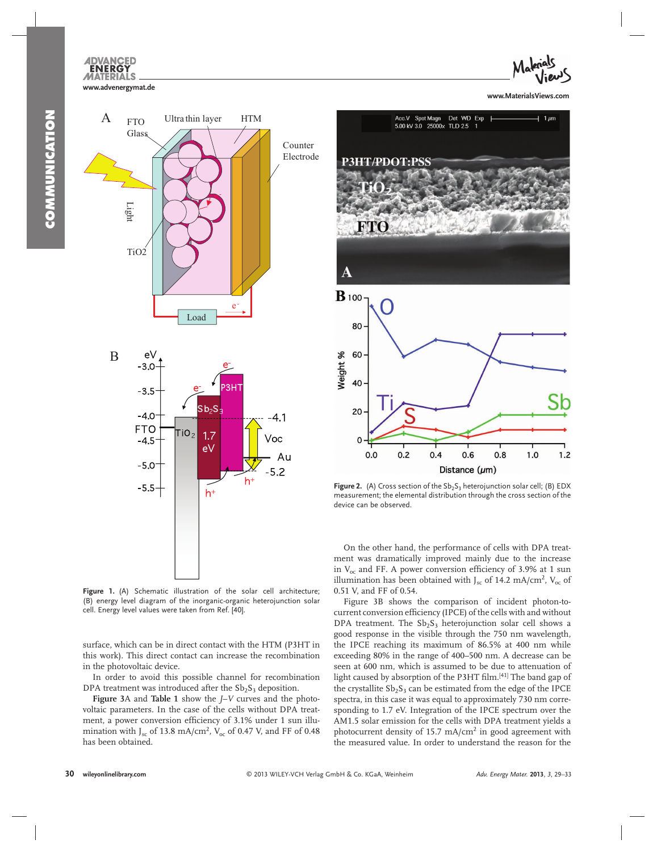



**Figure 1.** (A) Schematic illustration of the solar cell architecture; (B) energy level diagram of the inorganic-organic heterojunction solar cell. Energy level values were taken from Ref. [40].

surface, which can be in direct contact with the HTM (P3HT in this work). This direct contact can increase the recombination in the photovoltaic device.

 In order to avoid this possible channel for recombination DPA treatment was introduced after the  $Sb<sub>2</sub>S<sub>3</sub>$  deposition.

**Figure 3**A and **Table 1** show the *J*–*V* curves and the photovoltaic parameters. In the case of the cells without DPA treatment, a power conversion efficiency of 3.1% under 1 sun illumination with J<sub>sc</sub> of 13.8 mA/cm<sup>2</sup>, V<sub>oc</sub> of 0.47 V, and FF of 0.48 has been obtained.



80 Neight % 60 40 20 O  $0.0$  $0.2$  $0.4$  $0.6$  $0.8$  $1.0$  $1.2$ Distance  $(\mu m)$ 

**Figure 2.** (A) Cross section of the Sb<sub>2</sub>S<sub>3</sub> heterojunction solar cell; (B) EDX measurement; the elemental distribution through the cross section of the device can be observed.

 On the other hand, the performance of cells with DPA treatment was dramatically improved mainly due to the increase in  $V_{\text{oc}}$  and FF. A power conversion efficiency of 3.9% at 1 sun illumination has been obtained with  $J_{\rm sc}$  of 14.2 mA/cm<sup>2</sup>,  $V_{\rm oc}$  of 0.51 V, and FF of 0.54.

Figure 3B shows the comparison of incident photon-tocurrent conversion efficiency (IPCE) of the cells with and without DPA treatment. The  $Sb_2S_3$  heterojunction solar cell shows a good response in the visible through the 750 nm wavelength, the IPCE reaching its maximum of 86.5% at 400 nm while exceeding 80% in the range of 400–500 nm. A decrease can be seen at 600 nm, which is assumed to be due to attenuation of light caused by absorption of the P3HT film.<sup>[41]</sup> The band gap of the crystallite  $Sb_2S_3$  can be estimated from the edge of the IPCE spectra, in this case it was equal to approximately 730 nm corresponding to 1.7 eV. Integration of the IPCE spectrum over the AM1.5 solar emission for the cells with DPA treatment yields a photocurrent density of 15.7 mA/ $\text{cm}^2$  in good agreement with the measured value. In order to understand the reason for the

A

 $\mathbf{B}$  100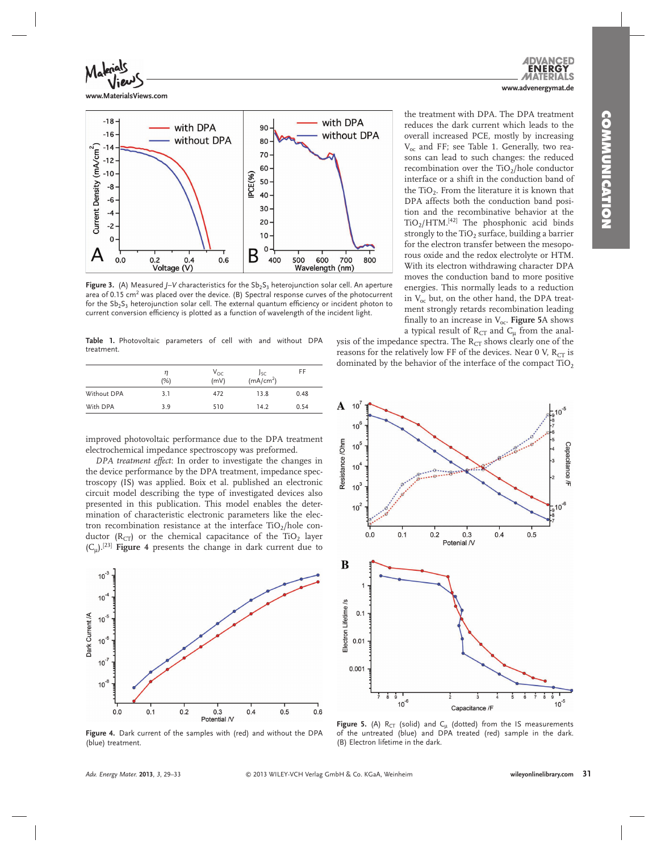

**www.MaterialsViews.com**



**Figure 3.** (A) Measured *J*-V characteristics for the Sb<sub>2</sub>S<sub>3</sub> heterojunction solar cell. An aperture area of 0.15  $cm<sup>2</sup>$  was placed over the device. (B) Spectral response curves of the photocurrent for the  $S_b S_a$  heterojunction solar cell. The external quantum efficiency or incident photon to current conversion efficiency is plotted as a function of wavelength of the incident light.

 **Table 1.** Photovoltaic parameters of cell with and without DPA treatment.

|             | (%) | $V_{OC}$<br>(mV) | Jsc<br>(mA/cm <sup>2</sup> ) | FF   |
|-------------|-----|------------------|------------------------------|------|
| Without DPA | 3.1 | 472              | 13.8                         | 0.48 |
| With DPA    | 3.9 | 510              | 14.2                         | 0.54 |

improved photovoltaic performance due to the DPA treatment electrochemical impedance spectroscopy was preformed.

*DPA treatment effect*: In order to investigate the changes in the device performance by the DPA treatment, impedance spectroscopy (IS) was applied. Boix et al. published an electronic circuit model describing the type of investigated devices also presented in this publication. This model enables the determination of characteristic electronic parameters like the electron recombination resistance at the interface  $TiO_2/hole$  conductor ( $R<sub>CT</sub>$ ) or the chemical capacitance of the TiO<sub>2</sub> layer  $(C_{\mu})$ .<sup>[23]</sup> **Figure 4** presents the change in dark current due to



Figure 4. Dark current of the samples with (red) and without the DPA (blue) treatment.

the treatment with DPA. The DPA treatment reduces the dark current which leads to the overall increased PCE, mostly by increasing  $V_{\rm oc}$  and FF; see Table 1. Generally, two reasons can lead to such changes: the reduced recombination over the  $TiO<sub>2</sub>/hole$  conductor interface or a shift in the conduction band of the TiO<sub>2</sub>. From the literature it is known that DPA affects both the conduction band position and the recombinative behavior at the  $TiO<sub>2</sub>/HTM.<sup>[42]</sup>$  The phosphonic acid binds strongly to the  $TiO<sub>2</sub>$  surface, building a barrier for the electron transfer between the mesoporous oxide and the redox electrolyte or HTM. With its electron withdrawing character DPA moves the conduction band to more positive energies. This normally leads to a reduction in  $V_{\alpha}$  but, on the other hand, the DPA treatment strongly retards recombination leading finally to an increase in  $V_{\text{oc}}$ . **Figure 5**A shows a typical result of  $R_{CT}$  and  $C_{\mu}$  from the anal-

**www.advenergymat.de**

JERG

Ś.

ysis of the impedance spectra. The  $R_{CT}$  shows clearly one of the reasons for the relatively low FF of the devices. Near 0 V,  $R_{CT}$  is dominated by the behavior of the interface of the compact  $TiO<sub>2</sub>$ 



**Figure 5.** (A)  $R_{CT}$  (solid) and  $C_{\mu}$  (dotted) from the IS measurements of the untreated (blue) and DPA treated (red) sample in the dark. (B) Electron lifetime in the dark.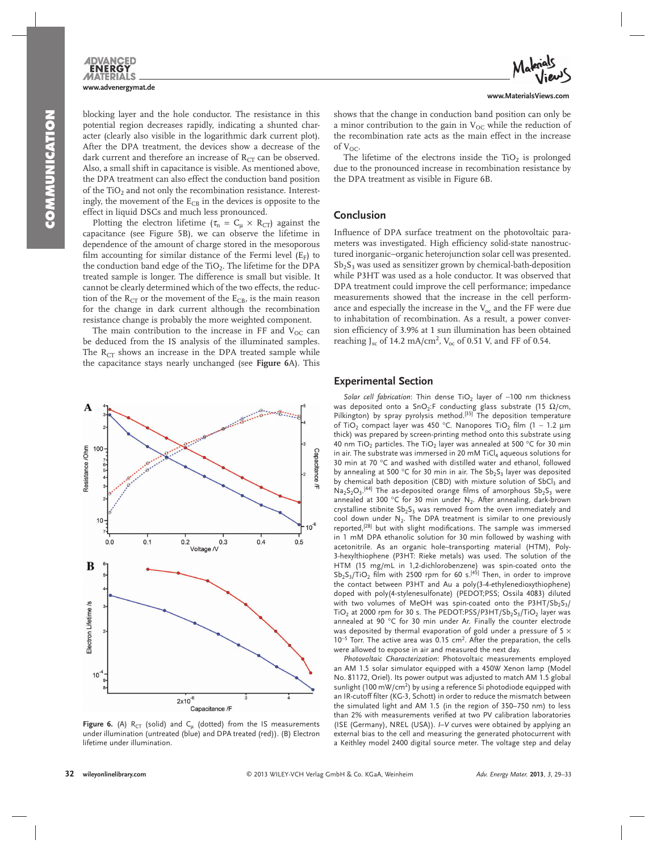blocking layer and the hole conductor. The resistance in this potential region decreases rapidly, indicating a shunted character (clearly also visible in the logarithmic dark current plot). After the DPA treatment, the devices show a decrease of the dark current and therefore an increase of  $R_{CT}$  can be observed. Also, a small shift in capacitance is visible. As mentioned above, the DPA treatment can also effect the conduction band position of the TiO<sub>2</sub> and not only the recombination resistance. Interestingly, the movement of the  $E_{CB}$  in the devices is opposite to the effect in liquid DSCs and much less pronounced.

Plotting the electron lifetime ( $\tau_n = C_\mu \times R_{CT}$ ) against the capacitance (see Figure 5B), we can observe the lifetime in dependence of the amount of charge stored in the mesoporous film accounting for similar distance of the Fermi level  $(E_F)$  to the conduction band edge of the  $TiO<sub>2</sub>$ . The lifetime for the DPA treated sample is longer. The difference is small but visible. It cannot be clearly determined which of the two effects, the reduction of the  $R_{CT}$  or the movement of the  $E_{CB}$ , is the main reason for the change in dark current although the recombination resistance change is probably the more weighted component.

The main contribution to the increase in FF and  $V_{OC}$  can be deduced from the IS analysis of the illuminated samples. The  $R_{CT}$  shows an increase in the DPA treated sample while the capacitance stays nearly unchanged (see **Figure 6** A). This



**Figure 6.** (A)  $R_{CT}$  (solid) and  $C_{\mu}$  (dotted) from the IS measurements under illumination (untreated (blue) and DPA treated (red)). (B) Electron lifetime under illumination.

The lifetime of the electrons inside the  $TiO<sub>2</sub>$  is prolonged due to the pronounced increase in recombination resistance by the DPA treatment as visible in Figure 6B.

### **Conclusion**

Influence of DPA surface treatment on the photovoltaic parameters was investigated. High efficiency solid-state nanostructured inorganic−organic heterojunction solar cell was presented.  $Sb<sub>2</sub>S<sub>3</sub>$  was used as sensitizer grown by chemical-bath-deposition while P3HT was used as a hole conductor. It was observed that DPA treatment could improve the cell performance; impedance measurements showed that the increase in the cell performance and especially the increase in the  $V_{\text{oc}}$  and the FF were due to inhabitation of recombination. As a result, a power conversion efficiency of 3.9% at 1 sun illumination has been obtained reaching J<sub>sc</sub> of 14.2 mA/cm<sup>2</sup>, V<sub>oc</sub> of 0.51 V, and FF of 0.54.

## **Experimental Section**

*Solar cell fabrication*: Thin dense TiO<sub>2</sub> layer of ~100 nm thickness was deposited onto a SnO<sub>2</sub>:F conducting glass substrate (15  $\Omega$ /cm, Pilkington) by spray pyrolysis method.<sup>[35]</sup> The deposition temperature of TiO<sub>2</sub> compact layer was 450 °C. Nanopores TiO<sub>2</sub> film (1 ~ 1.2 μm thick) was prepared by screen-printing method onto this substrate using 40 nm TiO<sub>2</sub> particles. The TiO<sub>2</sub> layer was annealed at 500 °C for 30 min in air. The substrate was immersed in 20 mM TiC $l_4$  aqueous solutions for 30 min at 70  $^{\circ}$ C and washed with distilled water and ethanol, followed by annealing at 500 °C for 30 min in air. The  $Sb_2S_3$  layer was deposited by chemical bath deposition (CBD) with mixture solution of SbCl3 and  $Na_2S_2O_3$ .<sup>[44]</sup> The as-deposited orange films of amorphous  $Sb_2S_3$  were annealed at 300 °C for 30 min under  $N_2$ . After annealing, dark-brown crystalline stibnite  $Sb_2S_3$  was removed from the oven immediately and cool down under  $N_2$ . The DPA treatment is similar to one previously reported,<sup>[28]</sup> but with slight modifications. The sample was immersed in 1 mM DPA ethanolic solution for 30 min followed by washing with acetonitrile. As an organic hole–transporting material (HTM), Poly-3-hexylthiophene (P3HT: Rieke metals) was used. The solution of the HTM (15 mg/mL in 1,2-dichlorobenzene) was spin-coated onto the  $Sb_2S_3/TiO_2$  film with 2500 rpm for 60 s.<sup>[45]</sup> Then, in order to improve the contact between P3HT and Au a poly(3-4-ethylenedioxythiophene) doped with poly(4-stylenesulfonate) (PEDOT;PSS; Ossila 4083) diluted with two volumes of MeOH was spin-coated onto the  $P3HT/5b_2S_3/$ TiO<sub>2</sub> at 2000 rpm for 30 s. The PEDOT:PSS/P3HT/Sb<sub>2</sub>S<sub>3</sub>/TiO<sub>2</sub> layer was annealed at 90  $^{\circ}$ C for 30 min under Ar. Finally the counter electrode was deposited by thermal evaporation of gold under a pressure of 5  $\times$ 10<sup>-5</sup> Torr. The active area was 0.15 cm<sup>2</sup>. After the preparation, the cells were allowed to expose in air and measured the next day.

*Photovoltaic Characterization* : Photovoltaic measurements employed an AM 1.5 solar simulator equipped with a 450W Xenon lamp (Model No. 81172, Oriel). Its power output was adjusted to match AM 1.5 global sunlight (100 mW/cm<sup>2</sup>) by using a reference Si photodiode equipped with an IR-cutoff filter (KG-3, Schott) in order to reduce the mismatch between the simulated light and AM 1.5 (in the region of 350–750 nm) to less than 2% with measurements verified at two PV calibration laboratories (ISE (Germany), NREL (USA)). *I*-V curves were obtained by applying an external bias to the cell and measuring the generated photocurrent with a Keithley model 2400 digital source meter. The voltage step and delay